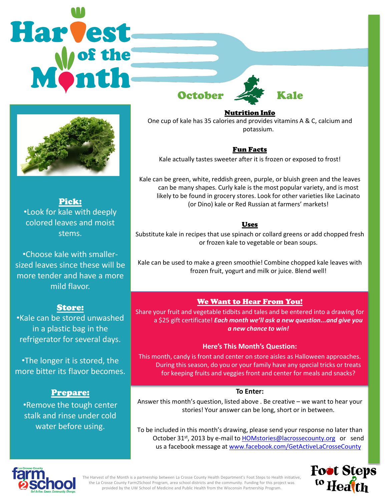



Pick: •Look for kale with deeply colored leaves and moist stems.

•Choose kale with smallersized leaves since these will be more tender and have a more mild flavor.

## Store:

•Kale can be stored unwashed in a plastic bag in the refrigerator for several days.

•The longer it is stored, the more bitter its flavor becomes.

## Prepare:

•Remove the tough center stalk and rinse under cold water before using.

Nutrition Info

One cup of kale has 35 calories and provides vitamins A & C, calcium and potassium.

## Fun Facts

Kale actually tastes sweeter after it is frozen or exposed to frost!

Kale can be green, white, reddish green, purple, or bluish green and the leaves can be many shapes. Curly kale is the most popular variety, and is most likely to be found in grocery stores. Look for other varieties like Lacinato (or Dino) kale or Red Russian at farmers' markets!

## Uses

Substitute kale in recipes that use spinach or collard greens or add chopped fresh or frozen kale to vegetable or bean soups.

Kale can be used to make a green smoothie! Combine chopped kale leaves with frozen fruit, yogurt and milk or juice. Blend well!

## We Want to Hear From You!

Share your fruit and vegetable tidbits and tales and be entered into a drawing for a \$25 gift certificate! *Each month we'll ask a new question...and give you a new chance to win!* 

## **Here's This Month's Question:**

This month, candy is front and center on store aisles as Halloween approaches. During this season, do you or your family have any special tricks or treats for keeping fruits and veggies front and center for meals and snacks?

### **To Enter:**

Answer this month's question, listed above . Be creative – we want to hear your stories! Your answer can be long, short or in between.

To be included in this month's drawing, please send your response no later than October 31<sup>st</sup>, 2013 by e-mail to **HOMstories@lacrossecounty.org** or send us a facebook message at [www.facebook.com/GetActiveLaCrosseCounty](http://www.facebook.com/GetActiveLaCrosseCounty)